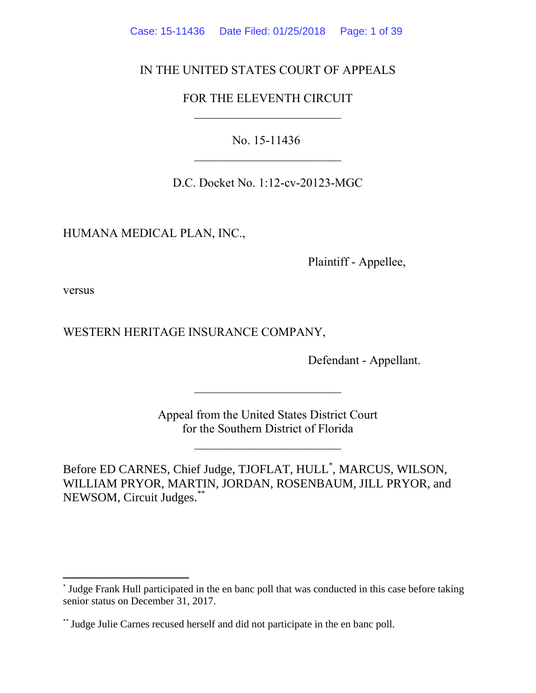Case: 15-11436 Date Filed: 01/25/2018 Page: 1 of 39

# IN THE UNITED STATES COURT OF APPEALS

# FOR THE ELEVENTH CIRCUIT  $\mathcal{L}_\text{max}$

No. 15-11436

D.C. Docket No. 1:12-cv-20123-MGC

HUMANA MEDICAL PLAN, INC.,

Plaintiff - Appellee,

versus

 $\overline{a}$ 

WESTERN HERITAGE INSURANCE COMPANY,

Defendant - Appellant.

Appeal from the United States District Court for the Southern District of Florida

 $\overline{\phantom{a}}$  , where  $\overline{\phantom{a}}$ 

 $\mathcal{L}_\text{max}$ 

Before ED CARNES, Chief Judge, TJOFLAT, HULL\* , MARCUS, WILSON, WILLIAM PRYOR, MARTIN, JORDAN, ROSENBAUM, JILL PRYOR, and NEWSOM, Circuit Judges.\*\*

<sup>\*</sup> Judge Frank Hull participated in the en banc poll that was conducted in this case before taking senior status on December 31, 2017.

<sup>\*\*</sup> Judge Julie Carnes recused herself and did not participate in the en banc poll.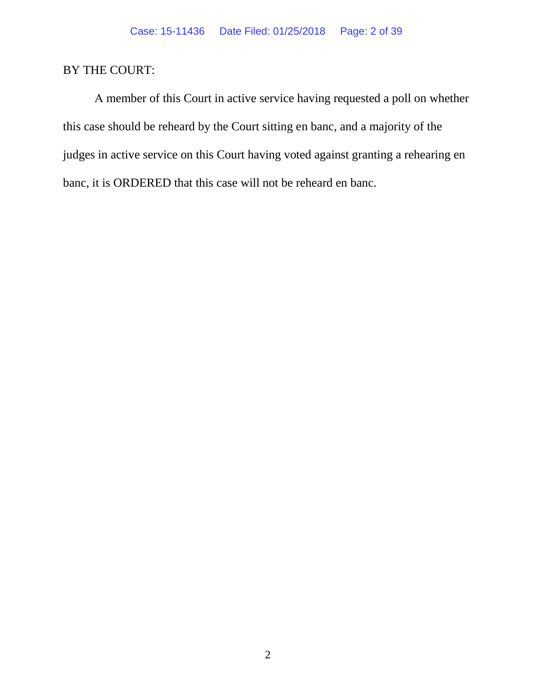# BY THE COURT:

A member of this Court in active service having requested a poll on whether this case should be reheard by the Court sitting en banc, and a majority of the judges in active service on this Court having voted against granting a rehearing en banc, it is ORDERED that this case will not be reheard en banc.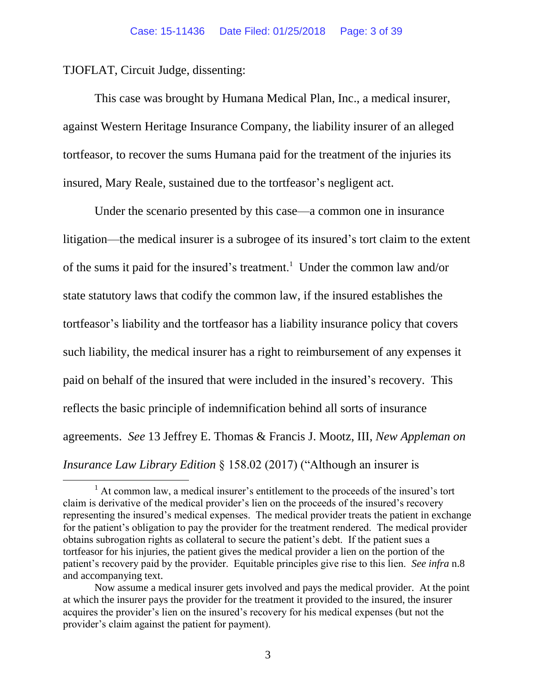TJOFLAT, Circuit Judge, dissenting:

 $\overline{a}$ 

This case was brought by Humana Medical Plan, Inc., a medical insurer, against Western Heritage Insurance Company, the liability insurer of an alleged tortfeasor, to recover the sums Humana paid for the treatment of the injuries its insured, Mary Reale, sustained due to the tortfeasor's negligent act.

Under the scenario presented by this case—a common one in insurance litigation—the medical insurer is a subrogee of its insured's tort claim to the extent of the sums it paid for the insured's treatment.<sup>1</sup> Under the common law and/or state statutory laws that codify the common law, if the insured establishes the tortfeasor's liability and the tortfeasor has a liability insurance policy that covers such liability, the medical insurer has a right to reimbursement of any expenses it paid on behalf of the insured that were included in the insured's recovery. This reflects the basic principle of indemnification behind all sorts of insurance agreements. *See* 13 Jeffrey E. Thomas & Francis J. Mootz, III, *New Appleman on Insurance Law Library Edition* § 158.02 (2017) ("Although an insurer is

<sup>&</sup>lt;sup>1</sup> At common law, a medical insurer's entitlement to the proceeds of the insured's tort claim is derivative of the medical provider's lien on the proceeds of the insured's recovery representing the insured's medical expenses. The medical provider treats the patient in exchange for the patient's obligation to pay the provider for the treatment rendered. The medical provider obtains subrogation rights as collateral to secure the patient's debt. If the patient sues a tortfeasor for his injuries, the patient gives the medical provider a lien on the portion of the patient's recovery paid by the provider. Equitable principles give rise to this lien. *See infra* n.8 and accompanying text.

Now assume a medical insurer gets involved and pays the medical provider. At the point at which the insurer pays the provider for the treatment it provided to the insured, the insurer acquires the provider's lien on the insured's recovery for his medical expenses (but not the provider's claim against the patient for payment).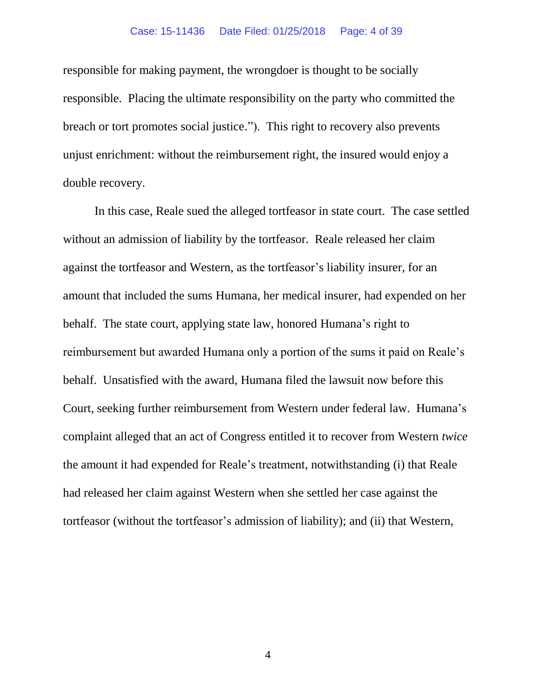#### Case: 15-11436 Date Filed: 01/25/2018 Page: 4 of 39

responsible for making payment, the wrongdoer is thought to be socially responsible. Placing the ultimate responsibility on the party who committed the breach or tort promotes social justice."). This right to recovery also prevents unjust enrichment: without the reimbursement right, the insured would enjoy a double recovery.

In this case, Reale sued the alleged tortfeasor in state court. The case settled without an admission of liability by the tortfeasor. Reale released her claim against the tortfeasor and Western, as the tortfeasor's liability insurer, for an amount that included the sums Humana, her medical insurer, had expended on her behalf. The state court, applying state law, honored Humana's right to reimbursement but awarded Humana only a portion of the sums it paid on Reale's behalf. Unsatisfied with the award, Humana filed the lawsuit now before this Court, seeking further reimbursement from Western under federal law. Humana's complaint alleged that an act of Congress entitled it to recover from Western *twice* the amount it had expended for Reale's treatment, notwithstanding (i) that Reale had released her claim against Western when she settled her case against the tortfeasor (without the tortfeasor's admission of liability); and (ii) that Western,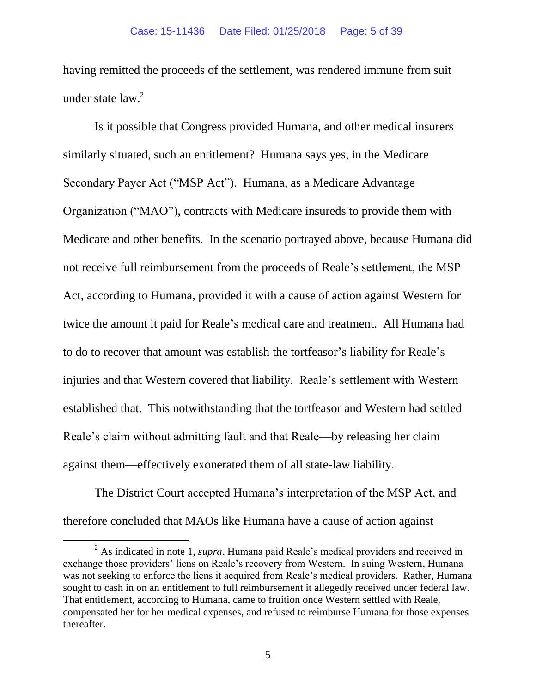having remitted the proceeds of the settlement, was rendered immune from suit under state  $law.<sup>2</sup>$ 

Is it possible that Congress provided Humana, and other medical insurers similarly situated, such an entitlement? Humana says yes, in the Medicare Secondary Payer Act ("MSP Act"). Humana, as a Medicare Advantage Organization ("MAO"), contracts with Medicare insureds to provide them with Medicare and other benefits. In the scenario portrayed above, because Humana did not receive full reimbursement from the proceeds of Reale's settlement, the MSP Act, according to Humana, provided it with a cause of action against Western for twice the amount it paid for Reale's medical care and treatment. All Humana had to do to recover that amount was establish the tortfeasor's liability for Reale's injuries and that Western covered that liability. Reale's settlement with Western established that. This notwithstanding that the tortfeasor and Western had settled Reale's claim without admitting fault and that Reale—by releasing her claim against them—effectively exonerated them of all state-law liability.

The District Court accepted Humana's interpretation of the MSP Act, and therefore concluded that MAOs like Humana have a cause of action against

 $\overline{a}$ 

<sup>2</sup> As indicated in note 1, *supra*, Humana paid Reale's medical providers and received in exchange those providers' liens on Reale's recovery from Western. In suing Western, Humana was not seeking to enforce the liens it acquired from Reale's medical providers. Rather, Humana sought to cash in on an entitlement to full reimbursement it allegedly received under federal law. That entitlement, according to Humana, came to fruition once Western settled with Reale, compensated her for her medical expenses, and refused to reimburse Humana for those expenses thereafter.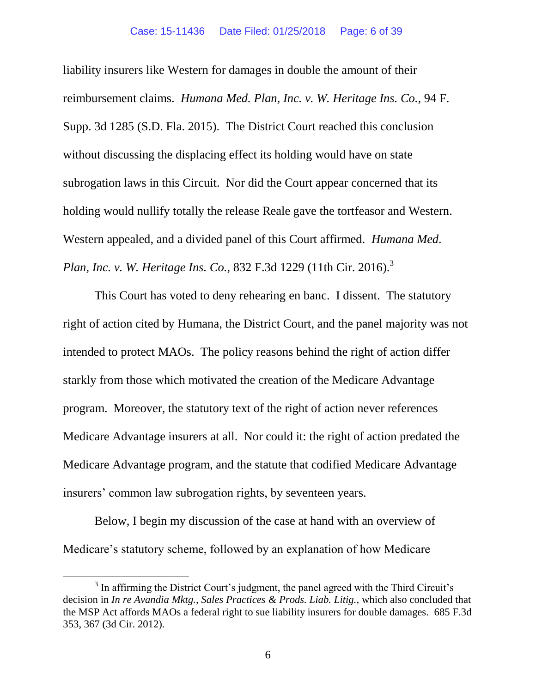liability insurers like Western for damages in double the amount of their reimbursement claims. *Humana Med. Plan, Inc. v. W. Heritage Ins. Co.*, 94 F. Supp. 3d 1285 (S.D. Fla. 2015). The District Court reached this conclusion without discussing the displacing effect its holding would have on state subrogation laws in this Circuit. Nor did the Court appear concerned that its holding would nullify totally the release Reale gave the tortfeasor and Western. Western appealed, and a divided panel of this Court affirmed. *Humana Med. Plan, Inc. v. W. Heritage Ins. Co., 832 F.3d 1229 (11th Cir. 2016).*<sup>3</sup>

This Court has voted to deny rehearing en banc. I dissent. The statutory right of action cited by Humana, the District Court, and the panel majority was not intended to protect MAOs. The policy reasons behind the right of action differ starkly from those which motivated the creation of the Medicare Advantage program. Moreover, the statutory text of the right of action never references Medicare Advantage insurers at all. Nor could it: the right of action predated the Medicare Advantage program, and the statute that codified Medicare Advantage insurers' common law subrogation rights, by seventeen years.

Below, I begin my discussion of the case at hand with an overview of Medicare's statutory scheme, followed by an explanation of how Medicare

 $\overline{a}$ 

 $3$  In affirming the District Court's judgment, the panel agreed with the Third Circuit's decision in *In re Avandia Mktg., Sales Practices & Prods. Liab. Litig.*, which also concluded that the MSP Act affords MAOs a federal right to sue liability insurers for double damages. 685 F.3d 353, 367 (3d Cir. 2012).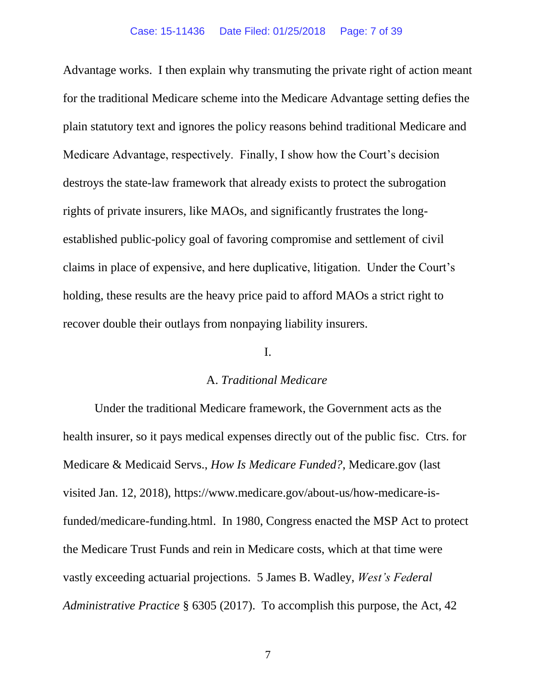Advantage works. I then explain why transmuting the private right of action meant for the traditional Medicare scheme into the Medicare Advantage setting defies the plain statutory text and ignores the policy reasons behind traditional Medicare and Medicare Advantage, respectively. Finally, I show how the Court's decision destroys the state-law framework that already exists to protect the subrogation rights of private insurers, like MAOs, and significantly frustrates the longestablished public-policy goal of favoring compromise and settlement of civil claims in place of expensive, and here duplicative, litigation. Under the Court's holding, these results are the heavy price paid to afford MAOs a strict right to recover double their outlays from nonpaying liability insurers.

## I.

## A. *Traditional Medicare*

Under the traditional Medicare framework, the Government acts as the health insurer, so it pays medical expenses directly out of the public fisc. Ctrs. for Medicare & Medicaid Servs., *How Is Medicare Funded?*, Medicare.gov (last visited Jan. 12, 2018), https://www.medicare.gov/about-us/how-medicare-isfunded/medicare-funding.html. In 1980, Congress enacted the MSP Act to protect the Medicare Trust Funds and rein in Medicare costs, which at that time were vastly exceeding actuarial projections. 5 James B. Wadley, *West's Federal Administrative Practice* § 6305 (2017). To accomplish this purpose, the Act, 42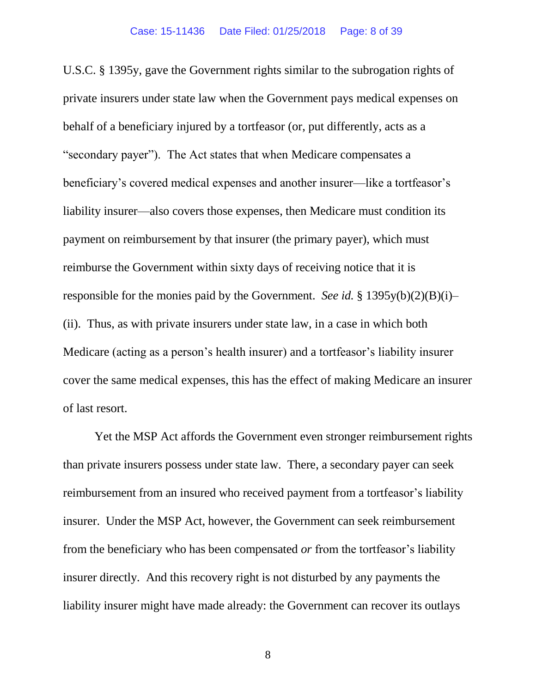U.S.C. § 1395y, gave the Government rights similar to the subrogation rights of private insurers under state law when the Government pays medical expenses on behalf of a beneficiary injured by a tortfeasor (or, put differently, acts as a "secondary payer"). The Act states that when Medicare compensates a beneficiary's covered medical expenses and another insurer—like a tortfeasor's liability insurer—also covers those expenses, then Medicare must condition its payment on reimbursement by that insurer (the primary payer), which must reimburse the Government within sixty days of receiving notice that it is responsible for the monies paid by the Government. *See id.* § 1395y(b)(2)(B)(i)– (ii). Thus, as with private insurers under state law, in a case in which both Medicare (acting as a person's health insurer) and a tortfeasor's liability insurer cover the same medical expenses, this has the effect of making Medicare an insurer of last resort.

Yet the MSP Act affords the Government even stronger reimbursement rights than private insurers possess under state law. There, a secondary payer can seek reimbursement from an insured who received payment from a tortfeasor's liability insurer. Under the MSP Act, however, the Government can seek reimbursement from the beneficiary who has been compensated *or* from the tortfeasor's liability insurer directly. And this recovery right is not disturbed by any payments the liability insurer might have made already: the Government can recover its outlays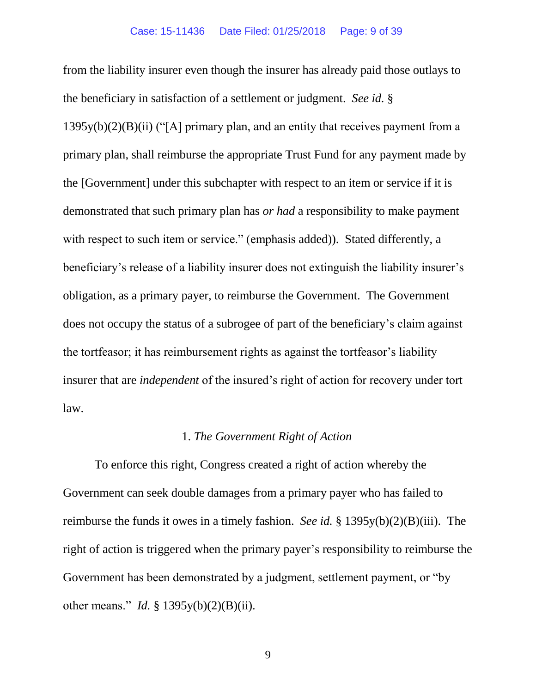from the liability insurer even though the insurer has already paid those outlays to the beneficiary in satisfaction of a settlement or judgment. *See id.* §  $1395y(b)(2)(B)(ii)$  ("[A] primary plan, and an entity that receives payment from a primary plan, shall reimburse the appropriate Trust Fund for any payment made by the [Government] under this subchapter with respect to an item or service if it is demonstrated that such primary plan has *or had* a responsibility to make payment with respect to such item or service." (emphasis added)). Stated differently, a beneficiary's release of a liability insurer does not extinguish the liability insurer's obligation, as a primary payer, to reimburse the Government. The Government does not occupy the status of a subrogee of part of the beneficiary's claim against the tortfeasor; it has reimbursement rights as against the tortfeasor's liability insurer that are *independent* of the insured's right of action for recovery under tort law.

## 1. *The Government Right of Action*

To enforce this right, Congress created a right of action whereby the Government can seek double damages from a primary payer who has failed to reimburse the funds it owes in a timely fashion. *See id.* § 1395y(b)(2)(B)(iii). The right of action is triggered when the primary payer's responsibility to reimburse the Government has been demonstrated by a judgment, settlement payment, or "by other means." *Id.* § 1395y(b)(2)(B)(ii).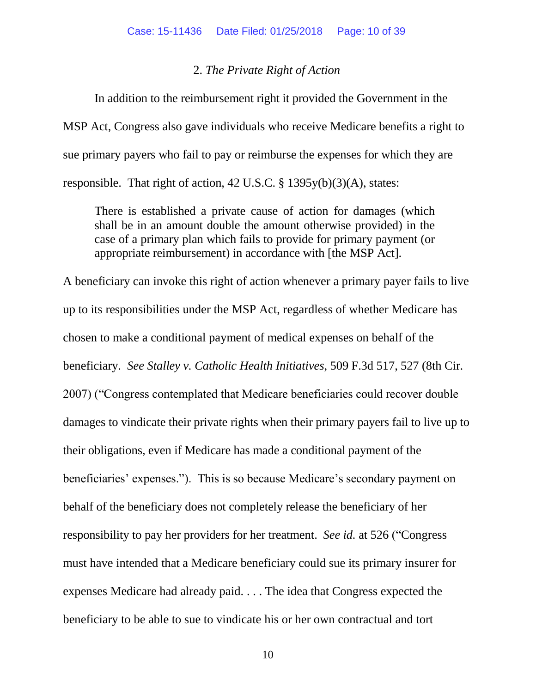## 2. *The Private Right of Action*

In addition to the reimbursement right it provided the Government in the MSP Act, Congress also gave individuals who receive Medicare benefits a right to sue primary payers who fail to pay or reimburse the expenses for which they are responsible. That right of action, 42 U.S.C. § 1395y(b)(3)(A), states:

There is established a private cause of action for damages (which shall be in an amount double the amount otherwise provided) in the case of a primary plan which fails to provide for primary payment (or appropriate reimbursement) in accordance with [the MSP Act].

A beneficiary can invoke this right of action whenever a primary payer fails to live up to its responsibilities under the MSP Act, regardless of whether Medicare has chosen to make a conditional payment of medical expenses on behalf of the beneficiary. *See Stalley v. Catholic Health Initiatives*, 509 F.3d 517, 527 (8th Cir. 2007) ("Congress contemplated that Medicare beneficiaries could recover double damages to vindicate their private rights when their primary payers fail to live up to their obligations, even if Medicare has made a conditional payment of the beneficiaries' expenses."). This is so because Medicare's secondary payment on behalf of the beneficiary does not completely release the beneficiary of her responsibility to pay her providers for her treatment. *See id.* at 526 ("Congress must have intended that a Medicare beneficiary could sue its primary insurer for expenses Medicare had already paid. . . . The idea that Congress expected the beneficiary to be able to sue to vindicate his or her own contractual and tort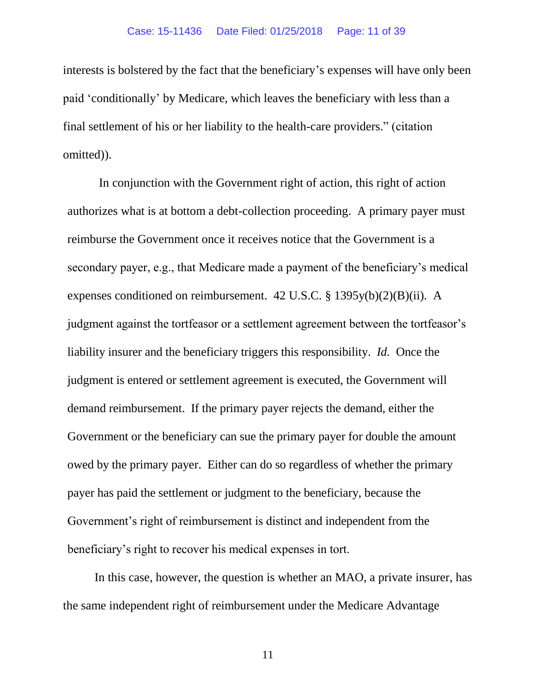interests is bolstered by the fact that the beneficiary's expenses will have only been paid 'conditionally' by Medicare, which leaves the beneficiary with less than a final settlement of his or her liability to the health-care providers." (citation omitted)).

In conjunction with the Government right of action, this right of action authorizes what is at bottom a debt-collection proceeding. A primary payer must reimburse the Government once it receives notice that the Government is a secondary payer, e.g., that Medicare made a payment of the beneficiary's medical expenses conditioned on reimbursement. 42 U.S.C. § 1395y(b)(2)(B)(ii). A judgment against the tortfeasor or a settlement agreement between the tortfeasor's liability insurer and the beneficiary triggers this responsibility. *Id.* Once the judgment is entered or settlement agreement is executed, the Government will demand reimbursement. If the primary payer rejects the demand, either the Government or the beneficiary can sue the primary payer for double the amount owed by the primary payer. Either can do so regardless of whether the primary payer has paid the settlement or judgment to the beneficiary, because the Government's right of reimbursement is distinct and independent from the beneficiary's right to recover his medical expenses in tort.

In this case, however, the question is whether an MAO, a private insurer, has the same independent right of reimbursement under the Medicare Advantage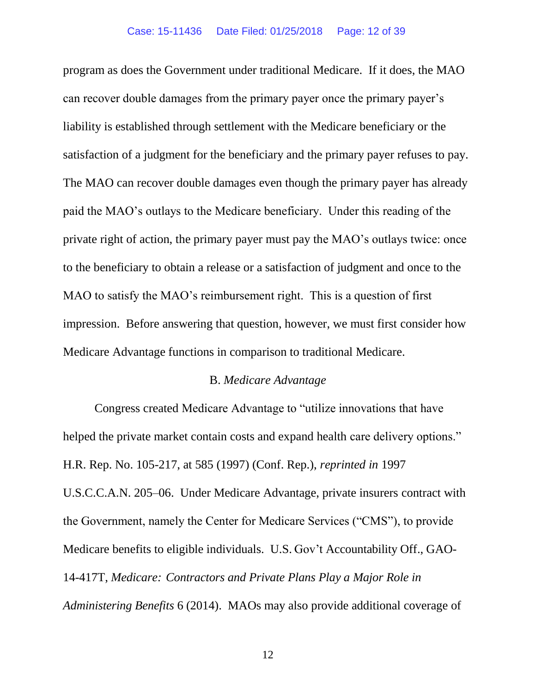program as does the Government under traditional Medicare. If it does, the MAO can recover double damages from the primary payer once the primary payer's liability is established through settlement with the Medicare beneficiary or the satisfaction of a judgment for the beneficiary and the primary payer refuses to pay. The MAO can recover double damages even though the primary payer has already paid the MAO's outlays to the Medicare beneficiary. Under this reading of the private right of action, the primary payer must pay the MAO's outlays twice: once to the beneficiary to obtain a release or a satisfaction of judgment and once to the MAO to satisfy the MAO's reimbursement right. This is a question of first impression. Before answering that question, however, we must first consider how Medicare Advantage functions in comparison to traditional Medicare.

## B. *Medicare Advantage*

Congress created Medicare Advantage to "utilize innovations that have helped the private market contain costs and expand health care delivery options." H.R. Rep. No. 105-217, at 585 (1997) (Conf. Rep.), *reprinted in* 1997 U.S.C.C.A.N. 205–06. Under Medicare Advantage, private insurers contract with the Government, namely the Center for Medicare Services ("CMS"), to provide Medicare benefits to eligible individuals. U.S. Gov't Accountability Off., GAO-14-417T, *Medicare: Contractors and Private Plans Play a Major Role in Administering Benefits* 6 (2014). MAOs may also provide additional coverage of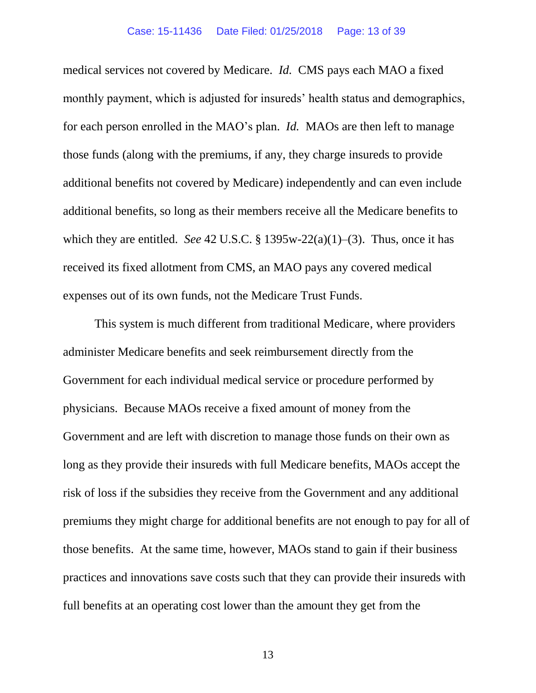medical services not covered by Medicare. *Id.* CMS pays each MAO a fixed monthly payment, which is adjusted for insureds' health status and demographics, for each person enrolled in the MAO's plan. *Id.* MAOs are then left to manage those funds (along with the premiums, if any, they charge insureds to provide additional benefits not covered by Medicare) independently and can even include additional benefits, so long as their members receive all the Medicare benefits to which they are entitled. *See* 42 U.S.C. § 1395w-22(a)(1)–(3). Thus, once it has received its fixed allotment from CMS, an MAO pays any covered medical expenses out of its own funds, not the Medicare Trust Funds.

This system is much different from traditional Medicare, where providers administer Medicare benefits and seek reimbursement directly from the Government for each individual medical service or procedure performed by physicians. Because MAOs receive a fixed amount of money from the Government and are left with discretion to manage those funds on their own as long as they provide their insureds with full Medicare benefits, MAOs accept the risk of loss if the subsidies they receive from the Government and any additional premiums they might charge for additional benefits are not enough to pay for all of those benefits. At the same time, however, MAOs stand to gain if their business practices and innovations save costs such that they can provide their insureds with full benefits at an operating cost lower than the amount they get from the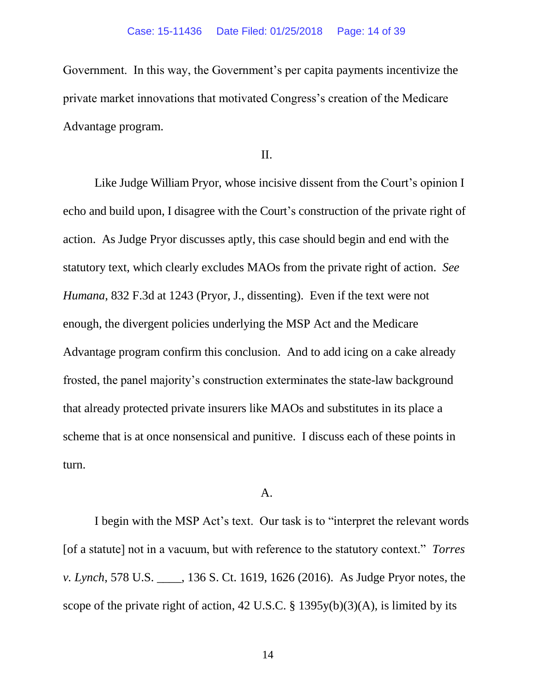Government. In this way, the Government's per capita payments incentivize the private market innovations that motivated Congress's creation of the Medicare Advantage program.

II.

Like Judge William Pryor, whose incisive dissent from the Court's opinion I echo and build upon, I disagree with the Court's construction of the private right of action. As Judge Pryor discusses aptly, this case should begin and end with the statutory text, which clearly excludes MAOs from the private right of action. *See Humana*, 832 F.3d at 1243 (Pryor, J., dissenting). Even if the text were not enough, the divergent policies underlying the MSP Act and the Medicare Advantage program confirm this conclusion. And to add icing on a cake already frosted, the panel majority's construction exterminates the state-law background that already protected private insurers like MAOs and substitutes in its place a scheme that is at once nonsensical and punitive. I discuss each of these points in turn.

## A.

I begin with the MSP Act's text. Our task is to "interpret the relevant words [of a statute] not in a vacuum, but with reference to the statutory context." *Torres v. Lynch*, 578 U.S. \_\_\_\_, 136 S. Ct. 1619, 1626 (2016). As Judge Pryor notes, the scope of the private right of action, 42 U.S.C.  $\S$  1395y(b)(3)(A), is limited by its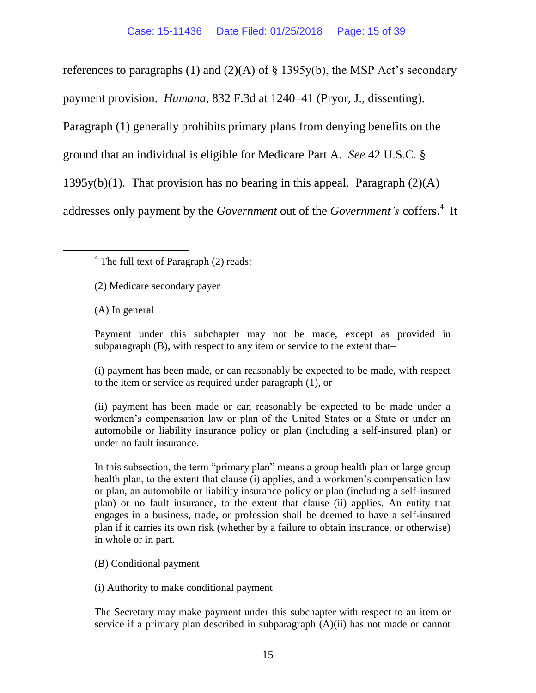references to paragraphs (1) and (2)(A) of  $\S$  1395y(b), the MSP Act's secondary

payment provision. *Humana*, 832 F.3d at 1240–41 (Pryor, J., dissenting).

Paragraph (1) generally prohibits primary plans from denying benefits on the

ground that an individual is eligible for Medicare Part A. *See* 42 U.S.C. §

1395y(b)(1). That provision has no bearing in this appeal. Paragraph  $(2)(A)$ 

addresses only payment by the *Government* out of the *Government's* coffers.<sup>4</sup> It

 $\overline{a}$ 

Payment under this subchapter may not be made, except as provided in subparagraph (B), with respect to any item or service to the extent that–

(i) payment has been made, or can reasonably be expected to be made, with respect to the item or service as required under paragraph (1), or

(ii) payment has been made or can reasonably be expected to be made under a workmen's compensation law or plan of the United States or a State or under an automobile or liability insurance policy or plan (including a self-insured plan) or under no fault insurance.

In this subsection, the term "primary plan" means a group health plan or large group health plan, to the extent that clause (i) applies, and a workmen's compensation law or plan, an automobile or liability insurance policy or plan (including a self-insured plan) or no fault insurance, to the extent that clause (ii) applies. An entity that engages in a business, trade, or profession shall be deemed to have a self-insured plan if it carries its own risk (whether by a failure to obtain insurance, or otherwise) in whole or in part.

(B) Conditional payment

(i) Authority to make conditional payment

The Secretary may make payment under this subchapter with respect to an item or service if a primary plan described in subparagraph (A)(ii) has not made or cannot

<sup>&</sup>lt;sup>4</sup> The full text of Paragraph (2) reads:

<sup>(2)</sup> Medicare secondary payer

<sup>(</sup>A) In general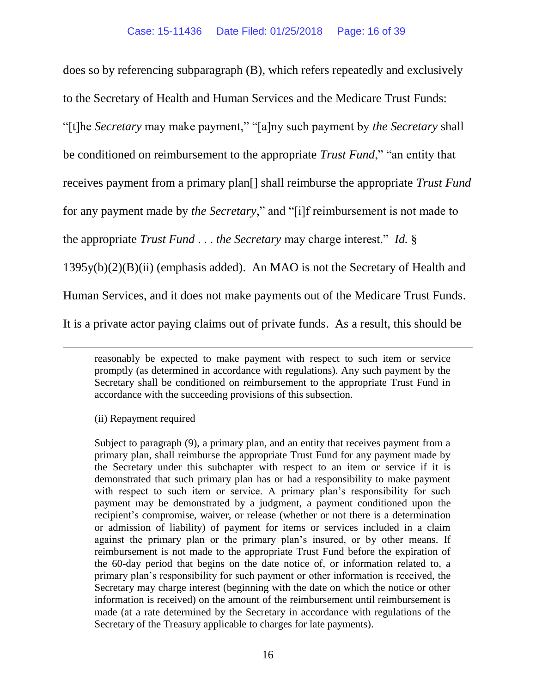does so by referencing subparagraph (B), which refers repeatedly and exclusively to the Secretary of Health and Human Services and the Medicare Trust Funds: "[t]he *Secretary* may make payment," "[a]ny such payment by *the Secretary* shall be conditioned on reimbursement to the appropriate *Trust Fund*," "an entity that receives payment from a primary plan[] shall reimburse the appropriate *Trust Fund* for any payment made by *the Secretary*," and "[i]f reimbursement is not made to the appropriate *Trust Fund* . . . *the Secretary* may charge interest." *Id.* § 1395y(b)(2)(B)(ii) (emphasis added). An MAO is not the Secretary of Health and Human Services, and it does not make payments out of the Medicare Trust Funds. It is a private actor paying claims out of private funds. As a result, this should be

(ii) Repayment required

 $\overline{a}$ 

Subject to paragraph (9), a primary plan, and an entity that receives payment from a primary plan, shall reimburse the appropriate Trust Fund for any payment made by the Secretary under this subchapter with respect to an item or service if it is demonstrated that such primary plan has or had a responsibility to make payment with respect to such item or service. A primary plan's responsibility for such payment may be demonstrated by a judgment, a payment conditioned upon the recipient's compromise, waiver, or release (whether or not there is a determination or admission of liability) of payment for items or services included in a claim against the primary plan or the primary plan's insured, or by other means. If reimbursement is not made to the appropriate Trust Fund before the expiration of the 60-day period that begins on the date notice of, or information related to, a primary plan's responsibility for such payment or other information is received, the Secretary may charge interest (beginning with the date on which the notice or other information is received) on the amount of the reimbursement until reimbursement is made (at a rate determined by the Secretary in accordance with regulations of the Secretary of the Treasury applicable to charges for late payments).

reasonably be expected to make payment with respect to such item or service promptly (as determined in accordance with regulations). Any such payment by the Secretary shall be conditioned on reimbursement to the appropriate Trust Fund in accordance with the succeeding provisions of this subsection.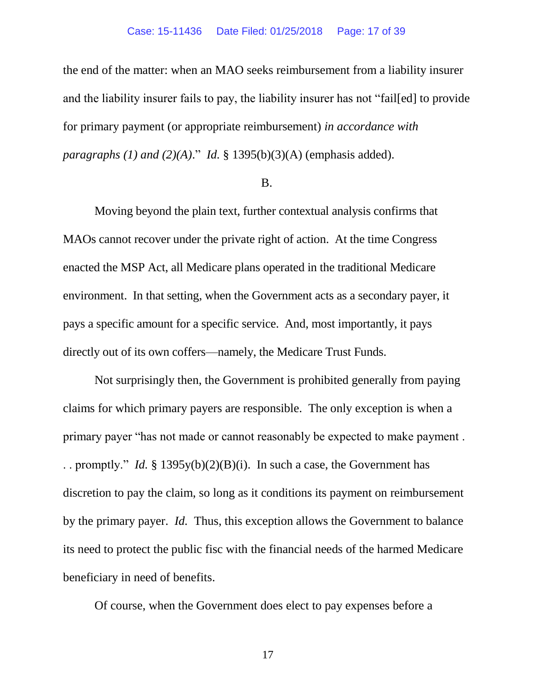the end of the matter: when an MAO seeks reimbursement from a liability insurer and the liability insurer fails to pay, the liability insurer has not "fail[ed] to provide for primary payment (or appropriate reimbursement) *in accordance with paragraphs (1) and (2)(A)*." *Id.* § 1395(b)(3)(A) (emphasis added).

### B.

Moving beyond the plain text, further contextual analysis confirms that MAOs cannot recover under the private right of action. At the time Congress enacted the MSP Act, all Medicare plans operated in the traditional Medicare environment. In that setting, when the Government acts as a secondary payer, it pays a specific amount for a specific service. And, most importantly, it pays directly out of its own coffers—namely, the Medicare Trust Funds.

Not surprisingly then, the Government is prohibited generally from paying claims for which primary payers are responsible. The only exception is when a primary payer "has not made or cannot reasonably be expected to make payment . . . promptly." *Id.* § 1395y(b)(2)(B)(i). In such a case, the Government has discretion to pay the claim, so long as it conditions its payment on reimbursement by the primary payer. *Id.* Thus, this exception allows the Government to balance its need to protect the public fisc with the financial needs of the harmed Medicare beneficiary in need of benefits.

Of course, when the Government does elect to pay expenses before a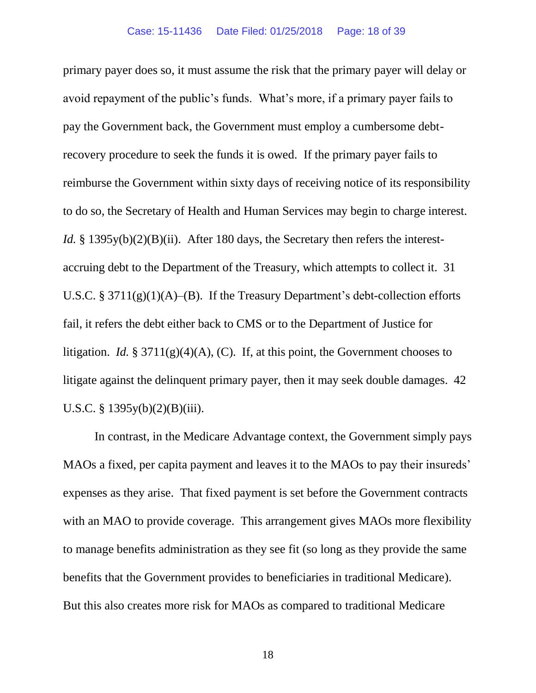primary payer does so, it must assume the risk that the primary payer will delay or avoid repayment of the public's funds. What's more, if a primary payer fails to pay the Government back, the Government must employ a cumbersome debtrecovery procedure to seek the funds it is owed. If the primary payer fails to reimburse the Government within sixty days of receiving notice of its responsibility to do so, the Secretary of Health and Human Services may begin to charge interest. *Id.* § 1395y(b)(2)(B)(ii). After 180 days, the Secretary then refers the interestaccruing debt to the Department of the Treasury, which attempts to collect it. 31 U.S.C. § 3711 $(g)(1)(A)$ – $(B)$ . If the Treasury Department's debt-collection efforts fail, it refers the debt either back to CMS or to the Department of Justice for litigation. *Id.* § 3711(g)(4)(A), (C). If, at this point, the Government chooses to litigate against the delinquent primary payer, then it may seek double damages. 42 U.S.C. § 1395y(b)(2)(B)(iii).

In contrast, in the Medicare Advantage context, the Government simply pays MAOs a fixed, per capita payment and leaves it to the MAOs to pay their insureds' expenses as they arise. That fixed payment is set before the Government contracts with an MAO to provide coverage. This arrangement gives MAOs more flexibility to manage benefits administration as they see fit (so long as they provide the same benefits that the Government provides to beneficiaries in traditional Medicare). But this also creates more risk for MAOs as compared to traditional Medicare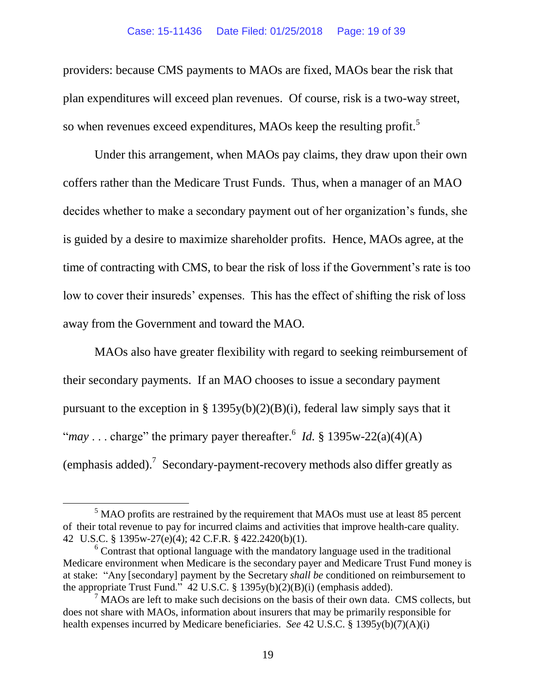providers: because CMS payments to MAOs are fixed, MAOs bear the risk that plan expenditures will exceed plan revenues. Of course, risk is a two-way street, so when revenues exceed expenditures, MAOs keep the resulting profit.<sup>5</sup>

Under this arrangement, when MAOs pay claims, they draw upon their own coffers rather than the Medicare Trust Funds. Thus, when a manager of an MAO decides whether to make a secondary payment out of her organization's funds, she is guided by a desire to maximize shareholder profits. Hence, MAOs agree, at the time of contracting with CMS, to bear the risk of loss if the Government's rate is too low to cover their insureds' expenses. This has the effect of shifting the risk of loss away from the Government and toward the MAO.

MAOs also have greater flexibility with regard to seeking reimbursement of their secondary payments. If an MAO chooses to issue a secondary payment pursuant to the exception in § 1395y(b)(2)(B)(i), federal law simply says that it "*may* . . . charge" the primary payer thereafter.<sup>6</sup> *Id.* § 1395w-22(a)(4)(A) (emphasis added).<sup>7</sup> Secondary-payment-recovery methods also differ greatly as

 $\overline{a}$ 

 $<sup>5</sup>$  MAO profits are restrained by the requirement that MAOs must use at least 85 percent</sup> of their total revenue to pay for incurred claims and activities that improve health-care quality. 42 U.S.C. § 1395w-27(e)(4); 42 C.F.R. § 422.2420(b)(1).

 $6$  Contrast that optional language with the mandatory language used in the traditional Medicare environment when Medicare is the secondary payer and Medicare Trust Fund money is at stake: "Any [secondary] payment by the Secretary *shall be* conditioned on reimbursement to the appropriate Trust Fund." 42 U.S.C. § 1395y(b)(2)(B)(i) (emphasis added).

 $<sup>7</sup>$  MAOs are left to make such decisions on the basis of their own data. CMS collects, but</sup> does not share with MAOs, information about insurers that may be primarily responsible for health expenses incurred by Medicare beneficiaries. *See* 42 U.S.C. § 1395y(b)(7)(A)(i)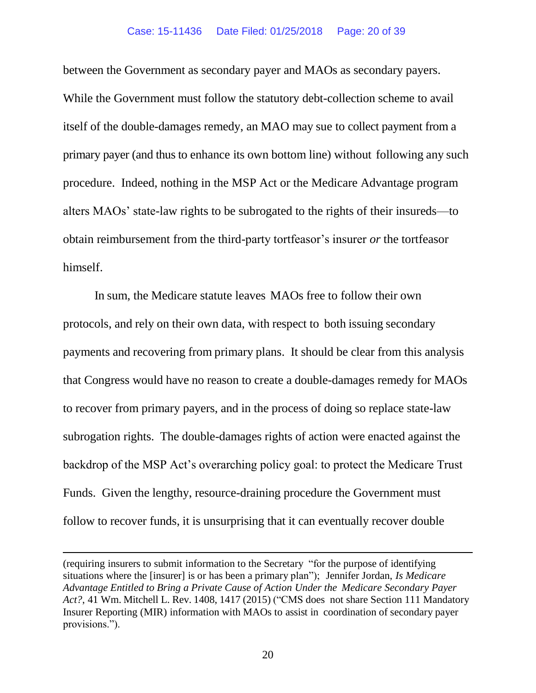between the Government as secondary payer and MAOs as secondary payers. While the Government must follow the statutory debt-collection scheme to avail itself of the double-damages remedy, an MAO may sue to collect payment from a primary payer (and thus to enhance its own bottom line) without following any such procedure. Indeed, nothing in the MSP Act or the Medicare Advantage program alters MAOs' state-law rights to be subrogated to the rights of their insureds—to obtain reimbursement from the third-party tortfeasor's insurer *or* the tortfeasor himself.

In sum, the Medicare statute leaves MAOs free to follow their own protocols, and rely on their own data, with respect to both issuing secondary payments and recovering from primary plans. It should be clear from this analysis that Congress would have no reason to create a double-damages remedy for MAOs to recover from primary payers, and in the process of doing so replace state-law subrogation rights. The double-damages rights of action were enacted against the backdrop of the MSP Act's overarching policy goal: to protect the Medicare Trust Funds. Given the lengthy, resource-draining procedure the Government must follow to recover funds, it is unsurprising that it can eventually recover double

 $\overline{a}$ 

<sup>(</sup>requiring insurers to submit information to the Secretary "for the purpose of identifying situations where the [insurer] is or has been a primary plan"); Jennifer Jordan, *Is Medicare Advantage Entitled to Bring a Private Cause of Action Under the Medicare Secondary Payer Act?*, 41 Wm. Mitchell L. Rev. 1408, 1417 (2015) ("CMS does not share Section 111 Mandatory Insurer Reporting (MIR) information with MAOs to assist in coordination of secondary payer provisions.").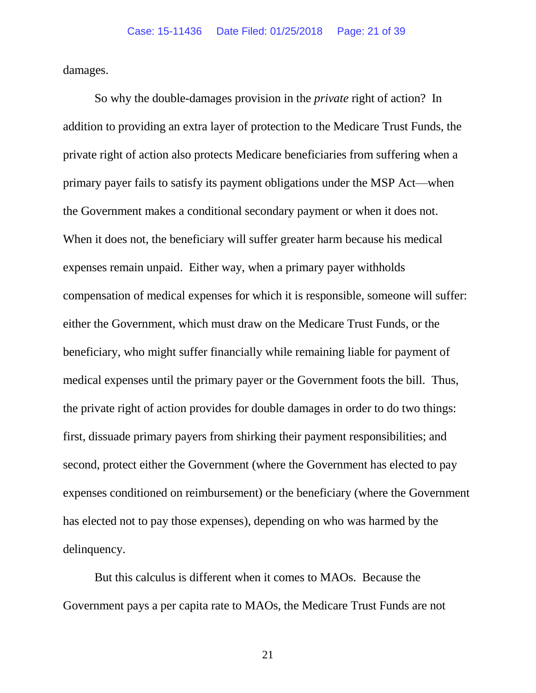damages.

So why the double-damages provision in the *private* right of action? In addition to providing an extra layer of protection to the Medicare Trust Funds, the private right of action also protects Medicare beneficiaries from suffering when a primary payer fails to satisfy its payment obligations under the MSP Act—when the Government makes a conditional secondary payment or when it does not. When it does not, the beneficiary will suffer greater harm because his medical expenses remain unpaid. Either way, when a primary payer withholds compensation of medical expenses for which it is responsible, someone will suffer: either the Government, which must draw on the Medicare Trust Funds, or the beneficiary, who might suffer financially while remaining liable for payment of medical expenses until the primary payer or the Government foots the bill. Thus, the private right of action provides for double damages in order to do two things: first, dissuade primary payers from shirking their payment responsibilities; and second, protect either the Government (where the Government has elected to pay expenses conditioned on reimbursement) or the beneficiary (where the Government has elected not to pay those expenses), depending on who was harmed by the delinquency.

But this calculus is different when it comes to MAOs. Because the Government pays a per capita rate to MAOs, the Medicare Trust Funds are not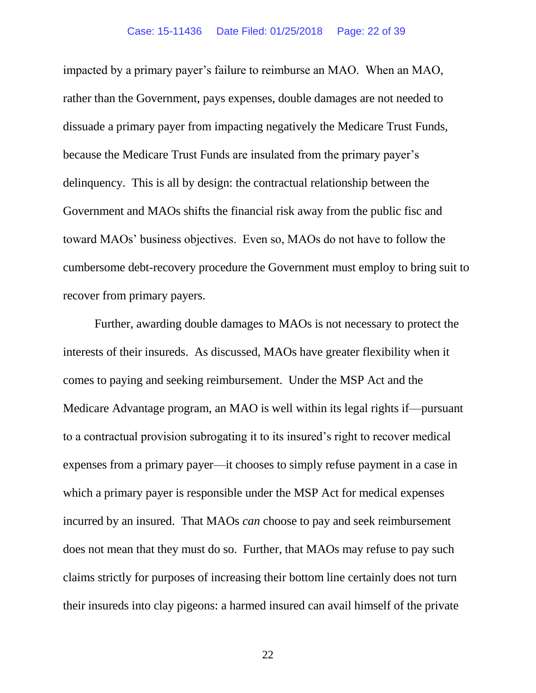impacted by a primary payer's failure to reimburse an MAO. When an MAO, rather than the Government, pays expenses, double damages are not needed to dissuade a primary payer from impacting negatively the Medicare Trust Funds, because the Medicare Trust Funds are insulated from the primary payer's delinquency. This is all by design: the contractual relationship between the Government and MAOs shifts the financial risk away from the public fisc and toward MAOs' business objectives. Even so, MAOs do not have to follow the cumbersome debt-recovery procedure the Government must employ to bring suit to recover from primary payers.

Further, awarding double damages to MAOs is not necessary to protect the interests of their insureds. As discussed, MAOs have greater flexibility when it comes to paying and seeking reimbursement. Under the MSP Act and the Medicare Advantage program, an MAO is well within its legal rights if—pursuant to a contractual provision subrogating it to its insured's right to recover medical expenses from a primary payer—it chooses to simply refuse payment in a case in which a primary payer is responsible under the MSP Act for medical expenses incurred by an insured. That MAOs *can* choose to pay and seek reimbursement does not mean that they must do so. Further, that MAOs may refuse to pay such claims strictly for purposes of increasing their bottom line certainly does not turn their insureds into clay pigeons: a harmed insured can avail himself of the private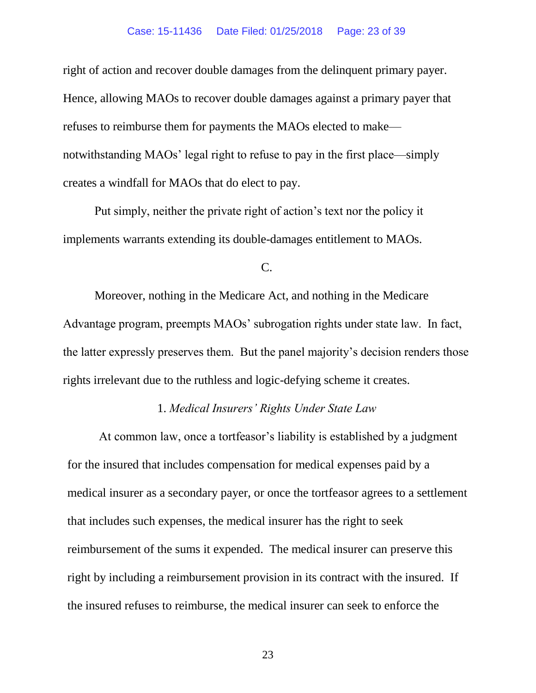#### Case: 15-11436 Date Filed: 01/25/2018 Page: 23 of 39

right of action and recover double damages from the delinquent primary payer. Hence, allowing MAOs to recover double damages against a primary payer that refuses to reimburse them for payments the MAOs elected to make notwithstanding MAOs' legal right to refuse to pay in the first place—simply creates a windfall for MAOs that do elect to pay.

Put simply, neither the private right of action's text nor the policy it implements warrants extending its double-damages entitlement to MAOs.

## C.

Moreover, nothing in the Medicare Act, and nothing in the Medicare Advantage program, preempts MAOs' subrogation rights under state law. In fact, the latter expressly preserves them. But the panel majority's decision renders those rights irrelevant due to the ruthless and logic-defying scheme it creates.

# 1. *Medical Insurers' Rights Under State Law*

At common law, once a tortfeasor's liability is established by a judgment for the insured that includes compensation for medical expenses paid by a medical insurer as a secondary payer, or once the tortfeasor agrees to a settlement that includes such expenses, the medical insurer has the right to seek reimbursement of the sums it expended. The medical insurer can preserve this right by including a reimbursement provision in its contract with the insured. If the insured refuses to reimburse, the medical insurer can seek to enforce the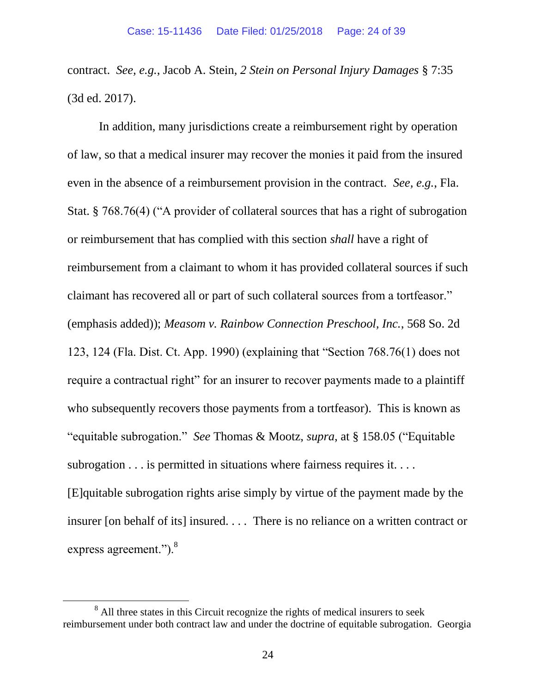contract. *See, e.g.*, Jacob A. Stein, *2 Stein on Personal Injury Damages* § 7:35 (3d ed. 2017).

In addition, many jurisdictions create a reimbursement right by operation of law, so that a medical insurer may recover the monies it paid from the insured even in the absence of a reimbursement provision in the contract. *See, e.g.*, Fla. Stat. § 768.76(4) ("A provider of collateral sources that has a right of subrogation or reimbursement that has complied with this section *shall* have a right of reimbursement from a claimant to whom it has provided collateral sources if such claimant has recovered all or part of such collateral sources from a tortfeasor." (emphasis added)); *Measom v. Rainbow Connection Preschool, Inc.*, 568 So. 2d 123, 124 (Fla. Dist. Ct. App. 1990) (explaining that "Section 768.76(1) does not require a contractual right" for an insurer to recover payments made to a plaintiff who subsequently recovers those payments from a tortfeasor). This is known as "equitable subrogation." *See* Thomas & Mootz, *supra*, at § 158.05 ("Equitable subrogation . . . is permitted in situations where fairness requires it. . . . [E]quitable subrogation rights arise simply by virtue of the payment made by the insurer [on behalf of its] insured. . . . There is no reliance on a written contract or express agreement.").<sup>8</sup>

 $\overline{a}$ 

<sup>&</sup>lt;sup>8</sup> All three states in this Circuit recognize the rights of medical insurers to seek reimbursement under both contract law and under the doctrine of equitable subrogation. Georgia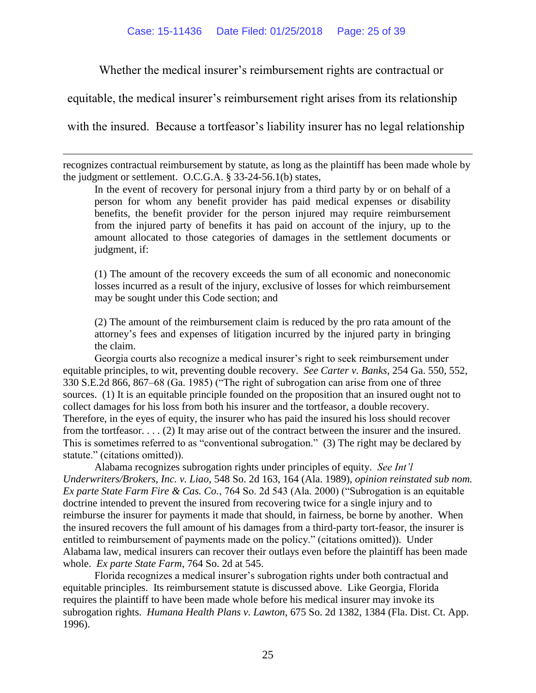Whether the medical insurer's reimbursement rights are contractual or

equitable, the medical insurer's reimbursement right arises from its relationship

with the insured. Because a tortfeasor's liability insurer has no legal relationship

 $\overline{a}$ 

recognizes contractual reimbursement by statute, as long as the plaintiff has been made whole by the judgment or settlement. O.C.G.A. § 33-24-56.1(b) states,

In the event of recovery for personal injury from a third party by or on behalf of a person for whom any benefit provider has paid medical expenses or disability benefits, the benefit provider for the person injured may require reimbursement from the injured party of benefits it has paid on account of the injury, up to the amount allocated to those categories of damages in the settlement documents or judgment, if:

(1) The amount of the recovery exceeds the sum of all economic and noneconomic losses incurred as a result of the injury, exclusive of losses for which reimbursement may be sought under this Code section; and

(2) The amount of the reimbursement claim is reduced by the pro rata amount of the attorney's fees and expenses of litigation incurred by the injured party in bringing the claim.

Georgia courts also recognize a medical insurer's right to seek reimbursement under equitable principles, to wit, preventing double recovery. *See Carter v. Banks*, 254 Ga. 550, 552, 330 S.E.2d 866, 867–68 (Ga. 1985) ("The right of subrogation can arise from one of three sources. (1) It is an equitable principle founded on the proposition that an insured ought not to collect damages for his loss from both his insurer and the tortfeasor, a double recovery. Therefore, in the eyes of equity, the insurer who has paid the insured his loss should recover from the tortfeasor. . . . (2) It may arise out of the contract between the insurer and the insured. This is sometimes referred to as "conventional subrogation." (3) The right may be declared by statute." (citations omitted)).

Alabama recognizes subrogation rights under principles of equity. *See Int'l Underwriters/Brokers, Inc. v. Liao*, 548 So. 2d 163, 164 (Ala. 1989), *opinion reinstated sub nom. Ex parte State Farm Fire & Cas. Co.*, 764 So. 2d 543 (Ala. 2000) ("Subrogation is an equitable doctrine intended to prevent the insured from recovering twice for a single injury and to reimburse the insurer for payments it made that should, in fairness, be borne by another. When the insured recovers the full amount of his damages from a third-party tort-feasor, the insurer is entitled to reimbursement of payments made on the policy." (citations omitted)). Under Alabama law, medical insurers can recover their outlays even before the plaintiff has been made whole. *Ex parte State Farm*, 764 So. 2d at 545.

Florida recognizes a medical insurer's subrogation rights under both contractual and equitable principles. Its reimbursement statute is discussed above. Like Georgia, Florida requires the plaintiff to have been made whole before his medical insurer may invoke its subrogation rights. *Humana Health Plans v. Lawton*, 675 So. 2d 1382, 1384 (Fla. Dist. Ct. App. 1996).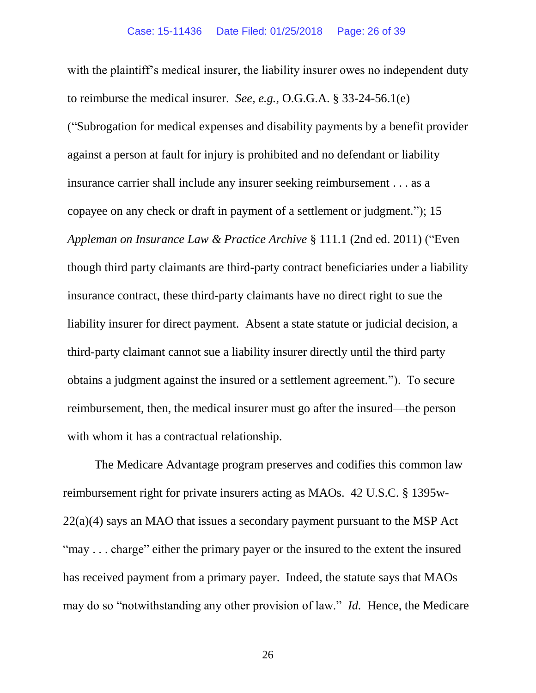with the plaintiff's medical insurer, the liability insurer owes no independent duty to reimburse the medical insurer. *See, e.g.*, O.G.G.A. § 33-24-56.1(e) ("Subrogation for medical expenses and disability payments by a benefit provider against a person at fault for injury is prohibited and no defendant or liability insurance carrier shall include any insurer seeking reimbursement . . . as a copayee on any check or draft in payment of a settlement or judgment."); 15 *Appleman on Insurance Law & Practice Archive* § 111.1 (2nd ed. 2011) ("Even though third party claimants are third-party contract beneficiaries under a liability insurance contract, these third-party claimants have no direct right to sue the liability insurer for direct payment. Absent a state statute or judicial decision, a third-party claimant cannot sue a liability insurer directly until the third party obtains a judgment against the insured or a settlement agreement."). To secure reimbursement, then, the medical insurer must go after the insured—the person with whom it has a contractual relationship.

The Medicare Advantage program preserves and codifies this common law reimbursement right for private insurers acting as MAOs. 42 U.S.C. § 1395w-22(a)(4) says an MAO that issues a secondary payment pursuant to the MSP Act "may . . . charge" either the primary payer or the insured to the extent the insured has received payment from a primary payer. Indeed, the statute says that MAOs may do so "notwithstanding any other provision of law." *Id.* Hence, the Medicare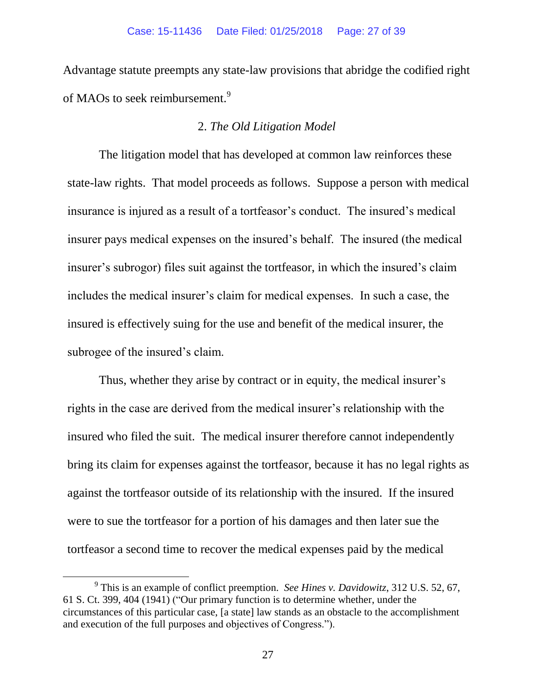Advantage statute preempts any state-law provisions that abridge the codified right of MAOs to seek reimbursement.<sup>9</sup>

## 2. *The Old Litigation Model*

The litigation model that has developed at common law reinforces these state-law rights. That model proceeds as follows. Suppose a person with medical insurance is injured as a result of a tortfeasor's conduct. The insured's medical insurer pays medical expenses on the insured's behalf. The insured (the medical insurer's subrogor) files suit against the tortfeasor, in which the insured's claim includes the medical insurer's claim for medical expenses. In such a case, the insured is effectively suing for the use and benefit of the medical insurer, the subrogee of the insured's claim.

Thus, whether they arise by contract or in equity, the medical insurer's rights in the case are derived from the medical insurer's relationship with the insured who filed the suit. The medical insurer therefore cannot independently bring its claim for expenses against the tortfeasor, because it has no legal rights as against the tortfeasor outside of its relationship with the insured. If the insured were to sue the tortfeasor for a portion of his damages and then later sue the tortfeasor a second time to recover the medical expenses paid by the medical

 $\overline{a}$ 

<sup>9</sup> This is an example of conflict preemption. *See Hines v. Davidowitz*, 312 U.S. 52, 67, 61 S. Ct. 399, 404 (1941) ("Our primary function is to determine whether, under the circumstances of this particular case, [a state] law stands as an obstacle to the accomplishment and execution of the full purposes and objectives of Congress.").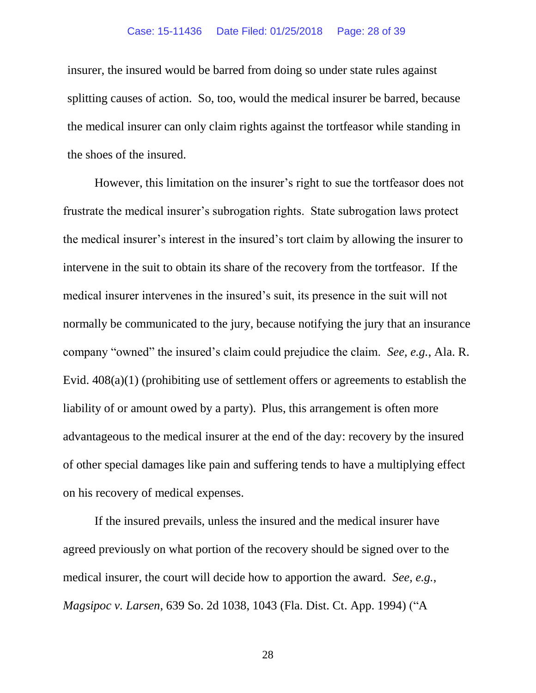#### Case: 15-11436 Date Filed: 01/25/2018 Page: 28 of 39

insurer, the insured would be barred from doing so under state rules against splitting causes of action. So, too, would the medical insurer be barred, because the medical insurer can only claim rights against the tortfeasor while standing in the shoes of the insured.

However, this limitation on the insurer's right to sue the tortfeasor does not frustrate the medical insurer's subrogation rights. State subrogation laws protect the medical insurer's interest in the insured's tort claim by allowing the insurer to intervene in the suit to obtain its share of the recovery from the tortfeasor. If the medical insurer intervenes in the insured's suit, its presence in the suit will not normally be communicated to the jury, because notifying the jury that an insurance company "owned" the insured's claim could prejudice the claim. *See, e.g.*, Ala. R. Evid. 408(a)(1) (prohibiting use of settlement offers or agreements to establish the liability of or amount owed by a party). Plus, this arrangement is often more advantageous to the medical insurer at the end of the day: recovery by the insured of other special damages like pain and suffering tends to have a multiplying effect on his recovery of medical expenses.

If the insured prevails, unless the insured and the medical insurer have agreed previously on what portion of the recovery should be signed over to the medical insurer, the court will decide how to apportion the award. *See, e.g.*, *Magsipoc v. Larsen*, 639 So. 2d 1038, 1043 (Fla. Dist. Ct. App. 1994) ("A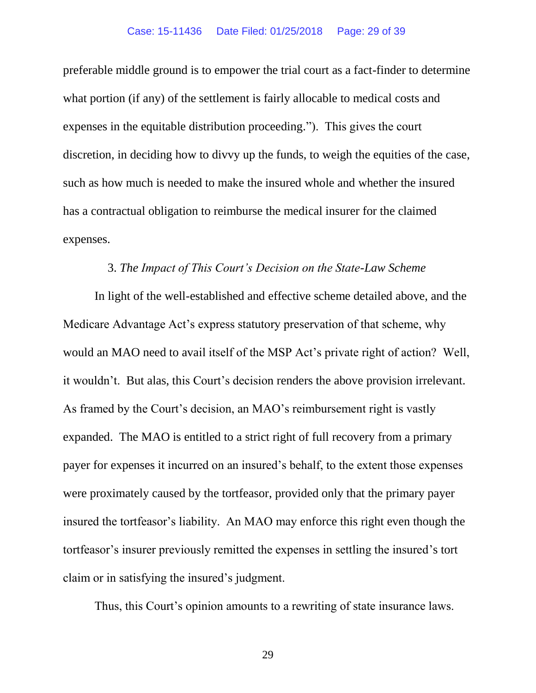preferable middle ground is to empower the trial court as a fact-finder to determine what portion (if any) of the settlement is fairly allocable to medical costs and expenses in the equitable distribution proceeding."). This gives the court discretion, in deciding how to divvy up the funds, to weigh the equities of the case, such as how much is needed to make the insured whole and whether the insured has a contractual obligation to reimburse the medical insurer for the claimed expenses.

## 3. *The Impact of This Court's Decision on the State-Law Scheme*

In light of the well-established and effective scheme detailed above, and the Medicare Advantage Act's express statutory preservation of that scheme, why would an MAO need to avail itself of the MSP Act's private right of action? Well, it wouldn't. But alas, this Court's decision renders the above provision irrelevant. As framed by the Court's decision, an MAO's reimbursement right is vastly expanded. The MAO is entitled to a strict right of full recovery from a primary payer for expenses it incurred on an insured's behalf, to the extent those expenses were proximately caused by the tortfeasor, provided only that the primary payer insured the tortfeasor's liability. An MAO may enforce this right even though the tortfeasor's insurer previously remitted the expenses in settling the insured's tort claim or in satisfying the insured's judgment.

Thus, this Court's opinion amounts to a rewriting of state insurance laws.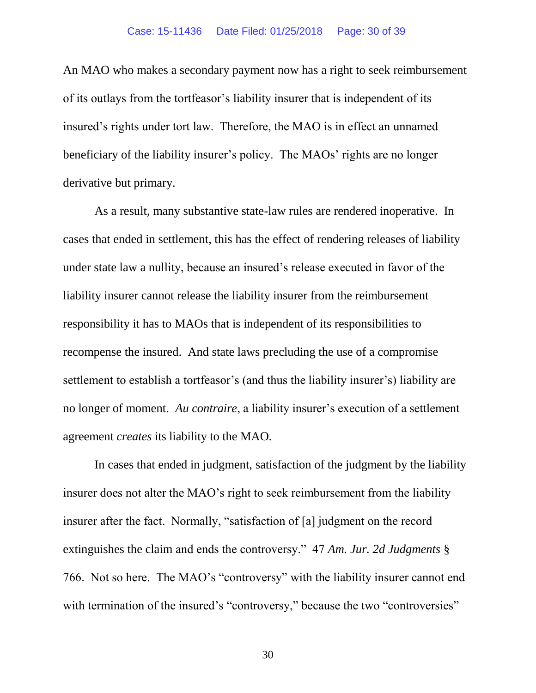An MAO who makes a secondary payment now has a right to seek reimbursement of its outlays from the tortfeasor's liability insurer that is independent of its insured's rights under tort law. Therefore, the MAO is in effect an unnamed beneficiary of the liability insurer's policy. The MAOs' rights are no longer derivative but primary.

As a result, many substantive state-law rules are rendered inoperative. In cases that ended in settlement, this has the effect of rendering releases of liability under state law a nullity, because an insured's release executed in favor of the liability insurer cannot release the liability insurer from the reimbursement responsibility it has to MAOs that is independent of its responsibilities to recompense the insured. And state laws precluding the use of a compromise settlement to establish a tortfeasor's (and thus the liability insurer's) liability are no longer of moment. *Au contraire*, a liability insurer's execution of a settlement agreement *creates* its liability to the MAO.

In cases that ended in judgment, satisfaction of the judgment by the liability insurer does not alter the MAO's right to seek reimbursement from the liability insurer after the fact. Normally, "satisfaction of [a] judgment on the record extinguishes the claim and ends the controversy." 47 *Am. Jur. 2d Judgments* § 766. Not so here. The MAO's "controversy" with the liability insurer cannot end with termination of the insured's "controversy," because the two "controversies"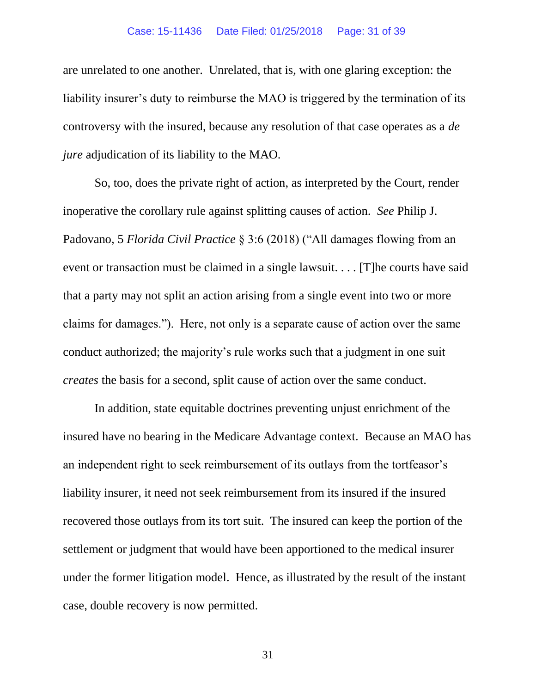#### Case: 15-11436 Date Filed: 01/25/2018 Page: 31 of 39

are unrelated to one another. Unrelated, that is, with one glaring exception: the liability insurer's duty to reimburse the MAO is triggered by the termination of its controversy with the insured, because any resolution of that case operates as a *de jure* adjudication of its liability to the MAO.

So, too, does the private right of action, as interpreted by the Court, render inoperative the corollary rule against splitting causes of action. *See* Philip J. Padovano, 5 *Florida Civil Practice* § 3:6 (2018) ("All damages flowing from an event or transaction must be claimed in a single lawsuit. . . . [T]he courts have said that a party may not split an action arising from a single event into two or more claims for damages."). Here, not only is a separate cause of action over the same conduct authorized; the majority's rule works such that a judgment in one suit *creates* the basis for a second, split cause of action over the same conduct.

In addition, state equitable doctrines preventing unjust enrichment of the insured have no bearing in the Medicare Advantage context. Because an MAO has an independent right to seek reimbursement of its outlays from the tortfeasor's liability insurer, it need not seek reimbursement from its insured if the insured recovered those outlays from its tort suit. The insured can keep the portion of the settlement or judgment that would have been apportioned to the medical insurer under the former litigation model. Hence, as illustrated by the result of the instant case, double recovery is now permitted.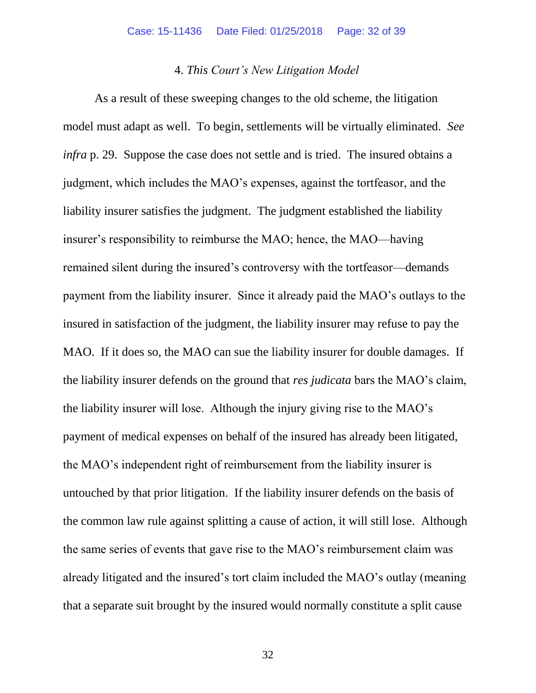## 4. *This Court's New Litigation Model*

As a result of these sweeping changes to the old scheme, the litigation model must adapt as well. To begin, settlements will be virtually eliminated. *See infra* p. 29. Suppose the case does not settle and is tried. The insured obtains a judgment, which includes the MAO's expenses, against the tortfeasor, and the liability insurer satisfies the judgment. The judgment established the liability insurer's responsibility to reimburse the MAO; hence, the MAO—having remained silent during the insured's controversy with the tortfeasor—demands payment from the liability insurer. Since it already paid the MAO's outlays to the insured in satisfaction of the judgment, the liability insurer may refuse to pay the MAO. If it does so, the MAO can sue the liability insurer for double damages. If the liability insurer defends on the ground that *res judicata* bars the MAO's claim, the liability insurer will lose. Although the injury giving rise to the MAO's payment of medical expenses on behalf of the insured has already been litigated, the MAO's independent right of reimbursement from the liability insurer is untouched by that prior litigation. If the liability insurer defends on the basis of the common law rule against splitting a cause of action, it will still lose. Although the same series of events that gave rise to the MAO's reimbursement claim was already litigated and the insured's tort claim included the MAO's outlay (meaning that a separate suit brought by the insured would normally constitute a split cause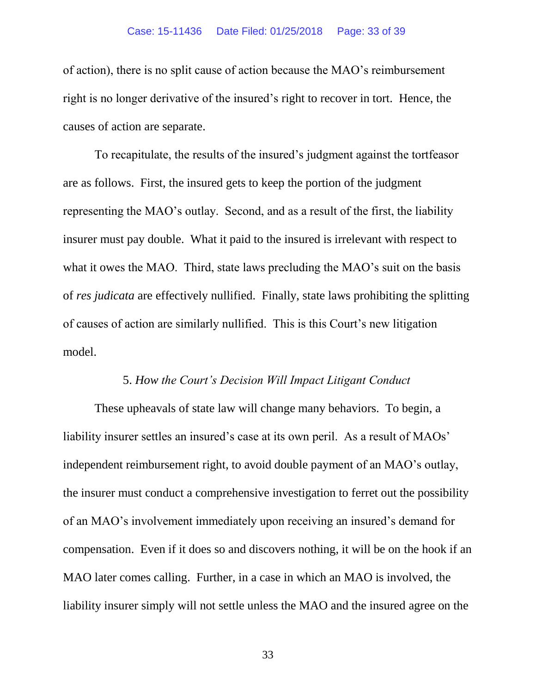#### Case: 15-11436 Date Filed: 01/25/2018 Page: 33 of 39

of action), there is no split cause of action because the MAO's reimbursement right is no longer derivative of the insured's right to recover in tort. Hence, the causes of action are separate.

To recapitulate, the results of the insured's judgment against the tortfeasor are as follows. First, the insured gets to keep the portion of the judgment representing the MAO's outlay. Second, and as a result of the first, the liability insurer must pay double. What it paid to the insured is irrelevant with respect to what it owes the MAO. Third, state laws precluding the MAO's suit on the basis of *res judicata* are effectively nullified. Finally, state laws prohibiting the splitting of causes of action are similarly nullified. This is this Court's new litigation model.

### 5. *How the Court's Decision Will Impact Litigant Conduct*

These upheavals of state law will change many behaviors. To begin, a liability insurer settles an insured's case at its own peril. As a result of MAOs' independent reimbursement right, to avoid double payment of an MAO's outlay, the insurer must conduct a comprehensive investigation to ferret out the possibility of an MAO's involvement immediately upon receiving an insured's demand for compensation. Even if it does so and discovers nothing, it will be on the hook if an MAO later comes calling. Further, in a case in which an MAO is involved, the liability insurer simply will not settle unless the MAO and the insured agree on the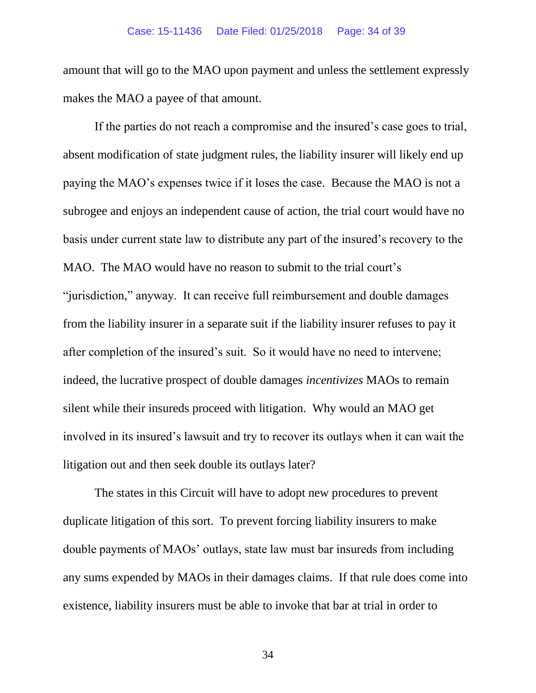amount that will go to the MAO upon payment and unless the settlement expressly makes the MAO a payee of that amount.

If the parties do not reach a compromise and the insured's case goes to trial, absent modification of state judgment rules, the liability insurer will likely end up paying the MAO's expenses twice if it loses the case. Because the MAO is not a subrogee and enjoys an independent cause of action, the trial court would have no basis under current state law to distribute any part of the insured's recovery to the MAO. The MAO would have no reason to submit to the trial court's "jurisdiction," anyway. It can receive full reimbursement and double damages from the liability insurer in a separate suit if the liability insurer refuses to pay it after completion of the insured's suit. So it would have no need to intervene; indeed, the lucrative prospect of double damages *incentivizes* MAOs to remain silent while their insureds proceed with litigation. Why would an MAO get involved in its insured's lawsuit and try to recover its outlays when it can wait the litigation out and then seek double its outlays later?

The states in this Circuit will have to adopt new procedures to prevent duplicate litigation of this sort. To prevent forcing liability insurers to make double payments of MAOs' outlays, state law must bar insureds from including any sums expended by MAOs in their damages claims. If that rule does come into existence, liability insurers must be able to invoke that bar at trial in order to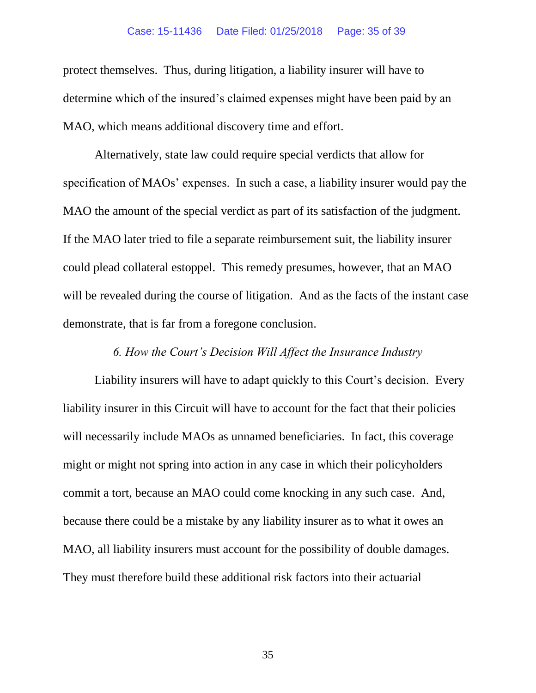#### Case: 15-11436 Date Filed: 01/25/2018 Page: 35 of 39

protect themselves. Thus, during litigation, a liability insurer will have to determine which of the insured's claimed expenses might have been paid by an MAO, which means additional discovery time and effort.

Alternatively, state law could require special verdicts that allow for specification of MAOs' expenses. In such a case, a liability insurer would pay the MAO the amount of the special verdict as part of its satisfaction of the judgment. If the MAO later tried to file a separate reimbursement suit, the liability insurer could plead collateral estoppel. This remedy presumes, however, that an MAO will be revealed during the course of litigation. And as the facts of the instant case demonstrate, that is far from a foregone conclusion.

## *6. How the Court's Decision Will Affect the Insurance Industry*

Liability insurers will have to adapt quickly to this Court's decision. Every liability insurer in this Circuit will have to account for the fact that their policies will necessarily include MAOs as unnamed beneficiaries. In fact, this coverage might or might not spring into action in any case in which their policyholders commit a tort, because an MAO could come knocking in any such case. And, because there could be a mistake by any liability insurer as to what it owes an MAO, all liability insurers must account for the possibility of double damages. They must therefore build these additional risk factors into their actuarial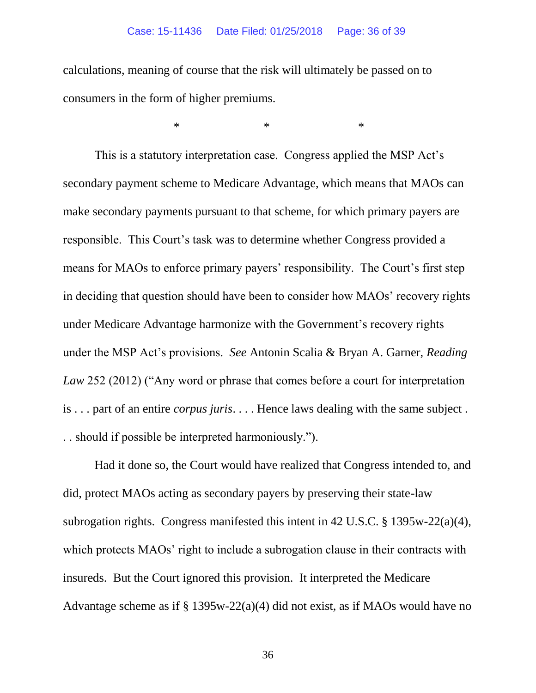#### Case: 15-11436 Date Filed: 01/25/2018 Page: 36 of 39

 $*$  \*  $*$  \*

calculations, meaning of course that the risk will ultimately be passed on to consumers in the form of higher premiums.

This is a statutory interpretation case. Congress applied the MSP Act's secondary payment scheme to Medicare Advantage, which means that MAOs can make secondary payments pursuant to that scheme, for which primary payers are responsible. This Court's task was to determine whether Congress provided a means for MAOs to enforce primary payers' responsibility. The Court's first step in deciding that question should have been to consider how MAOs' recovery rights under Medicare Advantage harmonize with the Government's recovery rights under the MSP Act's provisions. *See* Antonin Scalia & Bryan A. Garner, *Reading Law* 252 (2012) ("Any word or phrase that comes before a court for interpretation is . . . part of an entire *corpus juris*. . . . Hence laws dealing with the same subject . . . should if possible be interpreted harmoniously.").

Had it done so, the Court would have realized that Congress intended to, and did, protect MAOs acting as secondary payers by preserving their state-law subrogation rights. Congress manifested this intent in 42 U.S.C. § 1395w-22(a)(4), which protects MAOs' right to include a subrogation clause in their contracts with insureds. But the Court ignored this provision. It interpreted the Medicare Advantage scheme as if § 1395w-22(a)(4) did not exist, as if MAOs would have no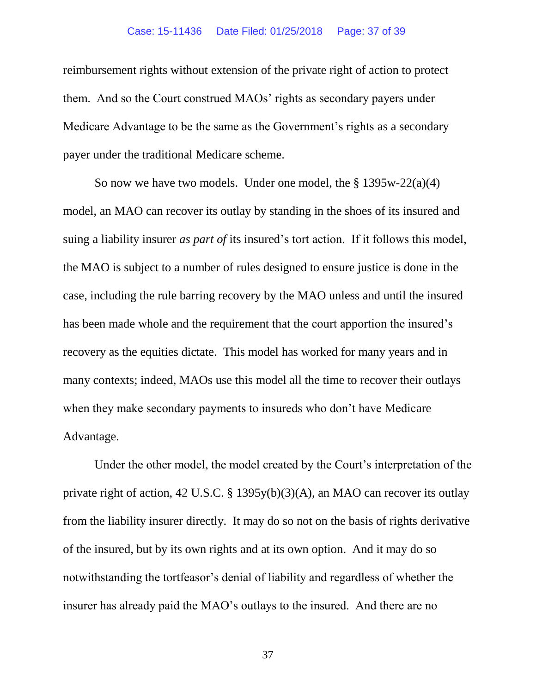#### Case: 15-11436 Date Filed: 01/25/2018 Page: 37 of 39

reimbursement rights without extension of the private right of action to protect them. And so the Court construed MAOs' rights as secondary payers under Medicare Advantage to be the same as the Government's rights as a secondary payer under the traditional Medicare scheme.

So now we have two models. Under one model, the  $\S 1395w-22(a)(4)$ model, an MAO can recover its outlay by standing in the shoes of its insured and suing a liability insurer *as part of* its insured's tort action. If it follows this model, the MAO is subject to a number of rules designed to ensure justice is done in the case, including the rule barring recovery by the MAO unless and until the insured has been made whole and the requirement that the court apportion the insured's recovery as the equities dictate. This model has worked for many years and in many contexts; indeed, MAOs use this model all the time to recover their outlays when they make secondary payments to insureds who don't have Medicare Advantage.

Under the other model, the model created by the Court's interpretation of the private right of action, 42 U.S.C. § 1395y(b)(3)(A), an MAO can recover its outlay from the liability insurer directly. It may do so not on the basis of rights derivative of the insured, but by its own rights and at its own option. And it may do so notwithstanding the tortfeasor's denial of liability and regardless of whether the insurer has already paid the MAO's outlays to the insured. And there are no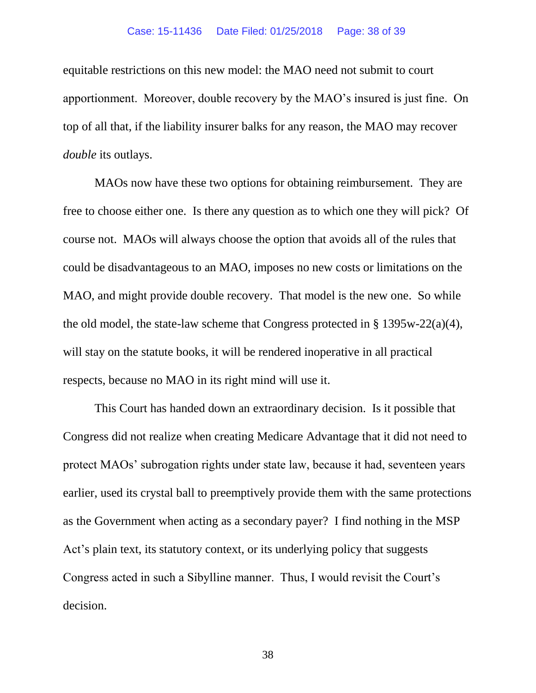#### Case: 15-11436 Date Filed: 01/25/2018 Page: 38 of 39

equitable restrictions on this new model: the MAO need not submit to court apportionment. Moreover, double recovery by the MAO's insured is just fine. On top of all that, if the liability insurer balks for any reason, the MAO may recover *double* its outlays.

MAOs now have these two options for obtaining reimbursement. They are free to choose either one. Is there any question as to which one they will pick? Of course not. MAOs will always choose the option that avoids all of the rules that could be disadvantageous to an MAO, imposes no new costs or limitations on the MAO, and might provide double recovery. That model is the new one. So while the old model, the state-law scheme that Congress protected in  $\S 1395w-22(a)(4)$ , will stay on the statute books, it will be rendered inoperative in all practical respects, because no MAO in its right mind will use it.

This Court has handed down an extraordinary decision. Is it possible that Congress did not realize when creating Medicare Advantage that it did not need to protect MAOs' subrogation rights under state law, because it had, seventeen years earlier, used its crystal ball to preemptively provide them with the same protections as the Government when acting as a secondary payer? I find nothing in the MSP Act's plain text, its statutory context, or its underlying policy that suggests Congress acted in such a Sibylline manner. Thus, I would revisit the Court's decision.